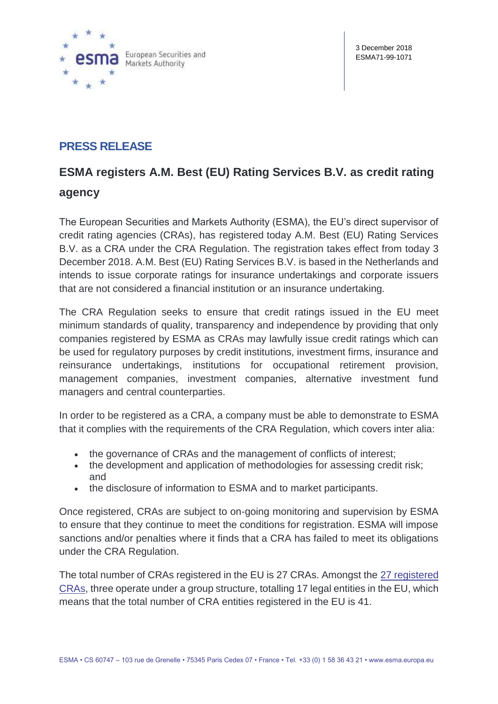

# **PRESS RELEASE**

## **ESMA registers A.M. Best (EU) Rating Services B.V. as credit rating**

### **agency**

The European Securities and Markets Authority (ESMA), the EU's direct supervisor of credit rating agencies (CRAs), has registered today A.M. Best (EU) Rating Services B.V. as a CRA under the CRA Regulation. The registration takes effect from today 3 December 2018. A.M. Best (EU) Rating Services B.V. is based in the Netherlands and intends to issue corporate ratings for insurance undertakings and corporate issuers that are not considered a financial institution or an insurance undertaking.

The CRA Regulation seeks to ensure that credit ratings issued in the EU meet minimum standards of quality, transparency and independence by providing that only companies registered by ESMA as CRAs may lawfully issue credit ratings which can be used for regulatory purposes by credit institutions, investment firms, insurance and reinsurance undertakings, institutions for occupational retirement provision, management companies, investment companies, alternative investment fund managers and central counterparties.

In order to be registered as a CRA, a company must be able to demonstrate to ESMA that it complies with the requirements of the CRA Regulation, which covers inter alia:

- the governance of CRAs and the management of conflicts of interest;
- the development and application of methodologies for assessing credit risk; and
- the disclosure of information to ESMA and to market participants.

Once registered, CRAs are subject to on-going monitoring and supervision by ESMA to ensure that they continue to meet the conditions for registration. ESMA will impose sanctions and/or penalties where it finds that a CRA has failed to meet its obligations under the CRA Regulation.

The total number of CRAs registered in the EU is 27 CRAs. Amongst the [27 registered](https://www.esma.europa.eu/supervision/credit-rating-agencies/risk)  [CRAs,](https://www.esma.europa.eu/supervision/credit-rating-agencies/risk) three operate under a group structure, totalling 17 legal entities in the EU, which means that the total number of CRA entities registered in the EU is 41.